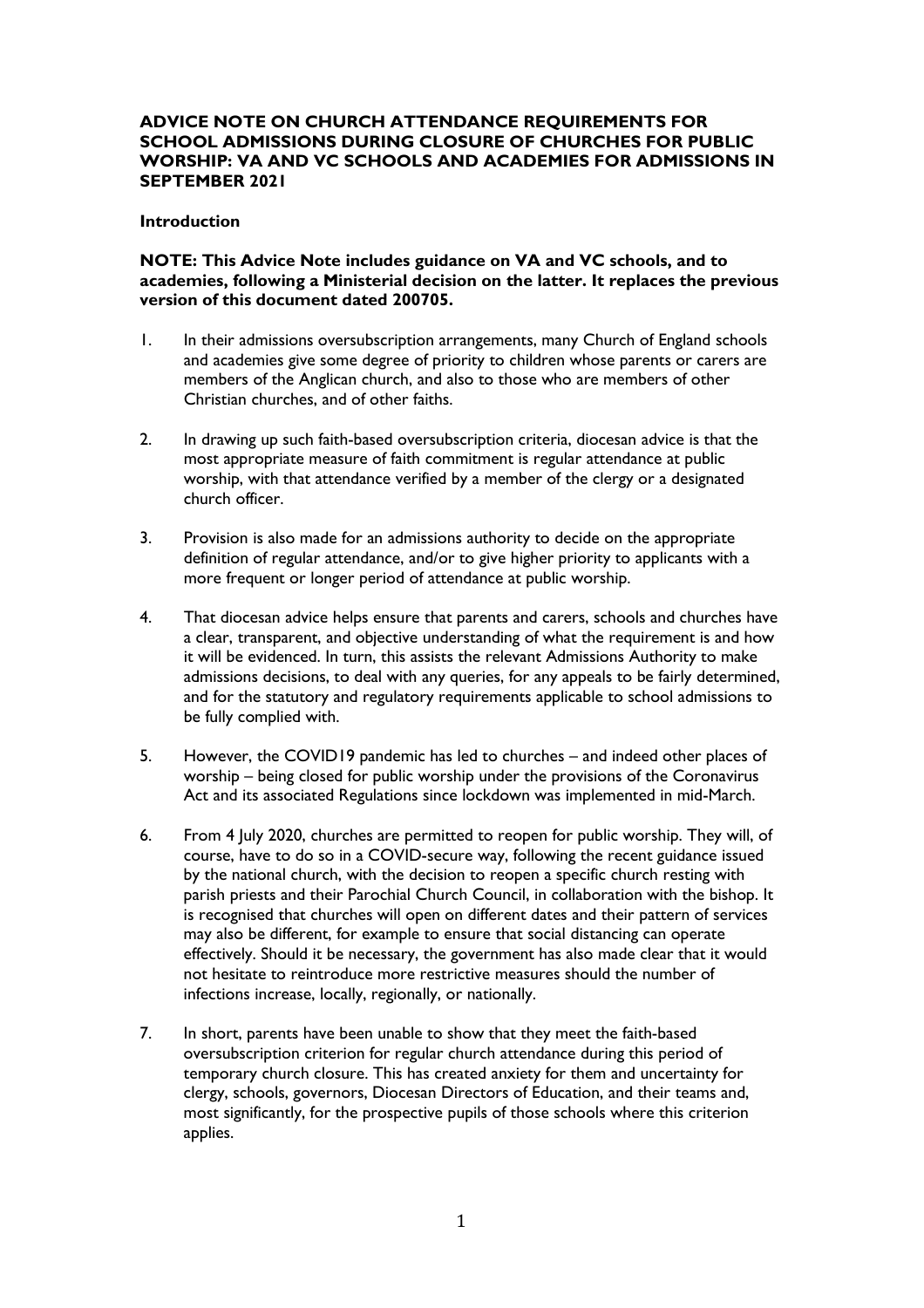# **ADVICE NOTE ON CHURCH ATTENDANCE REQUIREMENTS FOR SCHOOL ADMISSIONS DURING CLOSURE OF CHURCHES FOR PUBLIC WORSHIP: VA AND VC SCHOOLS AND ACADEMIES FOR ADMISSIONS IN SEPTEMBER 2021**

#### **Introduction**

## **NOTE: This Advice Note includes guidance on VA and VC schools, and to academies, following a Ministerial decision on the latter. It replaces the previous version of this document dated 200705.**

- 1. In their admissions oversubscription arrangements, many Church of England schools and academies give some degree of priority to children whose parents or carers are members of the Anglican church, and also to those who are members of other Christian churches, and of other faiths.
- 2. In drawing up such faith-based oversubscription criteria, diocesan advice is that the most appropriate measure of faith commitment is regular attendance at public worship, with that attendance verified by a member of the clergy or a designated church officer.
- 3. Provision is also made for an admissions authority to decide on the appropriate definition of regular attendance, and/or to give higher priority to applicants with a more frequent or longer period of attendance at public worship.
- 4. That diocesan advice helps ensure that parents and carers, schools and churches have a clear, transparent, and objective understanding of what the requirement is and how it will be evidenced. In turn, this assists the relevant Admissions Authority to make admissions decisions, to deal with any queries, for any appeals to be fairly determined, and for the statutory and regulatory requirements applicable to school admissions to be fully complied with.
- 5. However, the COVID19 pandemic has led to churches and indeed other places of worship – being closed for public worship under the provisions of the Coronavirus Act and its associated Regulations since lockdown was implemented in mid-March.
- 6. From 4 July 2020, churches are permitted to reopen for public worship. They will, of course, have to do so in a COVID-secure way, following the recent guidance issued by the national church, with the decision to reopen a specific church resting with parish priests and their Parochial Church Council, in collaboration with the bishop. It is recognised that churches will open on different dates and their pattern of services may also be different, for example to ensure that social distancing can operate effectively. Should it be necessary, the government has also made clear that it would not hesitate to reintroduce more restrictive measures should the number of infections increase, locally, regionally, or nationally.
- 7. In short, parents have been unable to show that they meet the faith-based oversubscription criterion for regular church attendance during this period of temporary church closure. This has created anxiety for them and uncertainty for clergy, schools, governors, Diocesan Directors of Education, and their teams and, most significantly, for the prospective pupils of those schools where this criterion applies.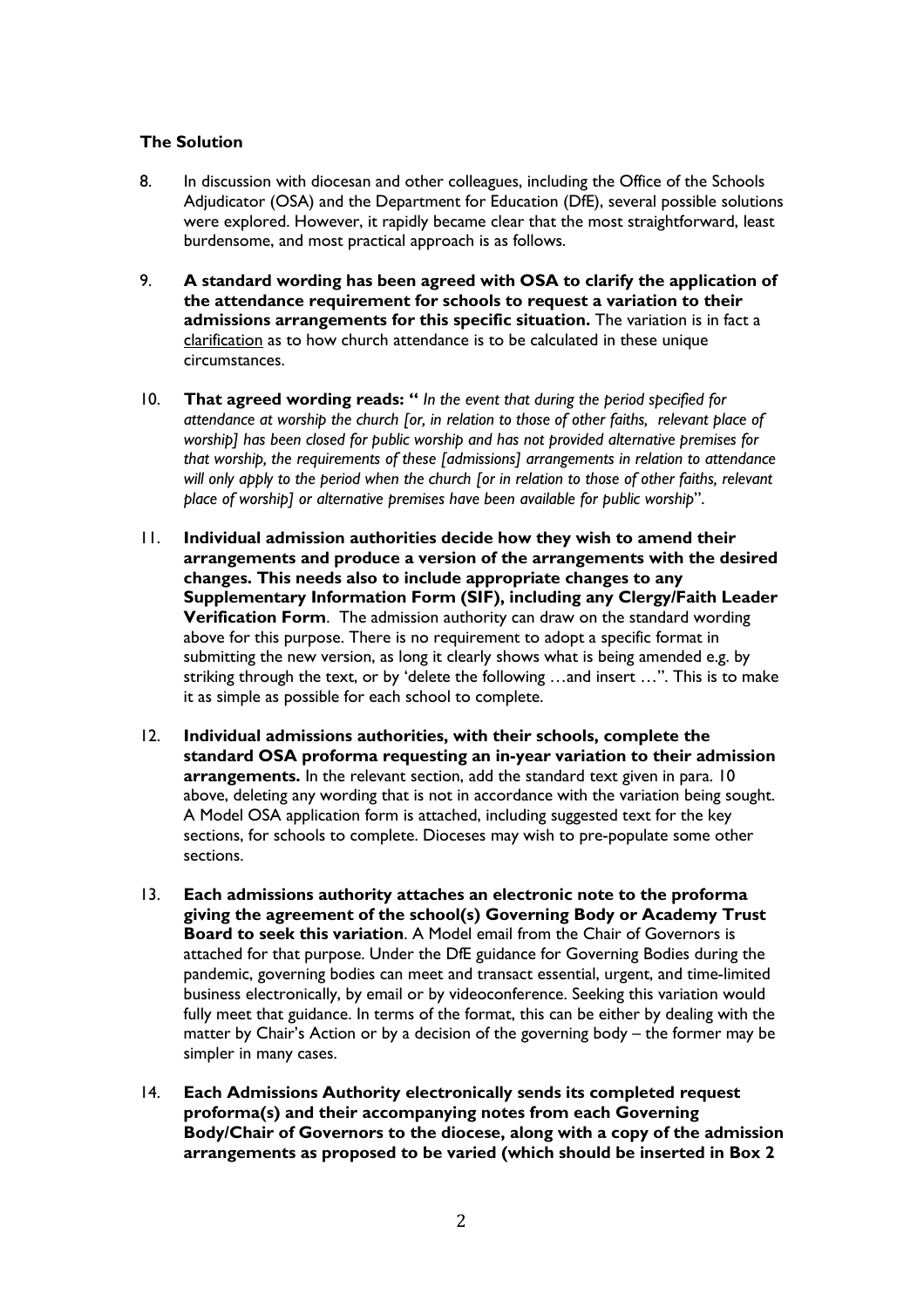# **The Solution**

- 8. In discussion with diocesan and other colleagues, including the Office of the Schools Adjudicator (OSA) and the Department for Education (DfE), several possible solutions were explored. However, it rapidly became clear that the most straightforward, least burdensome, and most practical approach is as follows.
- 9. **A standard wording has been agreed with OSA to clarify the application of the attendance requirement for schools to request a variation to their admissions arrangements for this specific situation.** The variation is in fact a clarification as to how church attendance is to be calculated in these unique circumstances.
- 10. **That agreed wording reads: "** *In the event that during the period specified for attendance at worship the church [or, in relation to those of other faiths, relevant place of worship] has been closed for public worship and has not provided alternative premises for that worship, the requirements of these [admissions] arrangements in relation to attendance will only apply to the period when the church [or in relation to those of other faiths, relevant place of worship] or alternative premises have been available for public worship*".
- 11. **Individual admission authorities decide how they wish to amend their arrangements and produce a version of the arrangements with the desired changes. This needs also to include appropriate changes to any Supplementary Information Form (SIF), including any Clergy/Faith Leader Verification Form**. The admission authority can draw on the standard wording above for this purpose. There is no requirement to adopt a specific format in submitting the new version, as long it clearly shows what is being amended e.g. by striking through the text, or by 'delete the following …and insert …". This is to make it as simple as possible for each school to complete.
- 12. **Individual admissions authorities, with their schools, complete the standard OSA proforma requesting an in-year variation to their admission arrangements.** In the relevant section, add the standard text given in para. 10 above, deleting any wording that is not in accordance with the variation being sought. A Model OSA application form is attached, including suggested text for the key sections, for schools to complete. Dioceses may wish to pre-populate some other sections.
- 13. **Each admissions authority attaches an electronic note to the proforma giving the agreement of the school(s) Governing Body or Academy Trust Board to seek this variation**. A Model email from the Chair of Governors is attached for that purpose. Under the DfE guidance for Governing Bodies during the pandemic, governing bodies can meet and transact essential, urgent, and time-limited business electronically, by email or by videoconference. Seeking this variation would fully meet that guidance. In terms of the format, this can be either by dealing with the matter by Chair's Action or by a decision of the governing body – the former may be simpler in many cases.
- 14. **Each Admissions Authority electronically sends its completed request proforma(s) and their accompanying notes from each Governing Body/Chair of Governors to the diocese, along with a copy of the admission arrangements as proposed to be varied (which should be inserted in Box 2**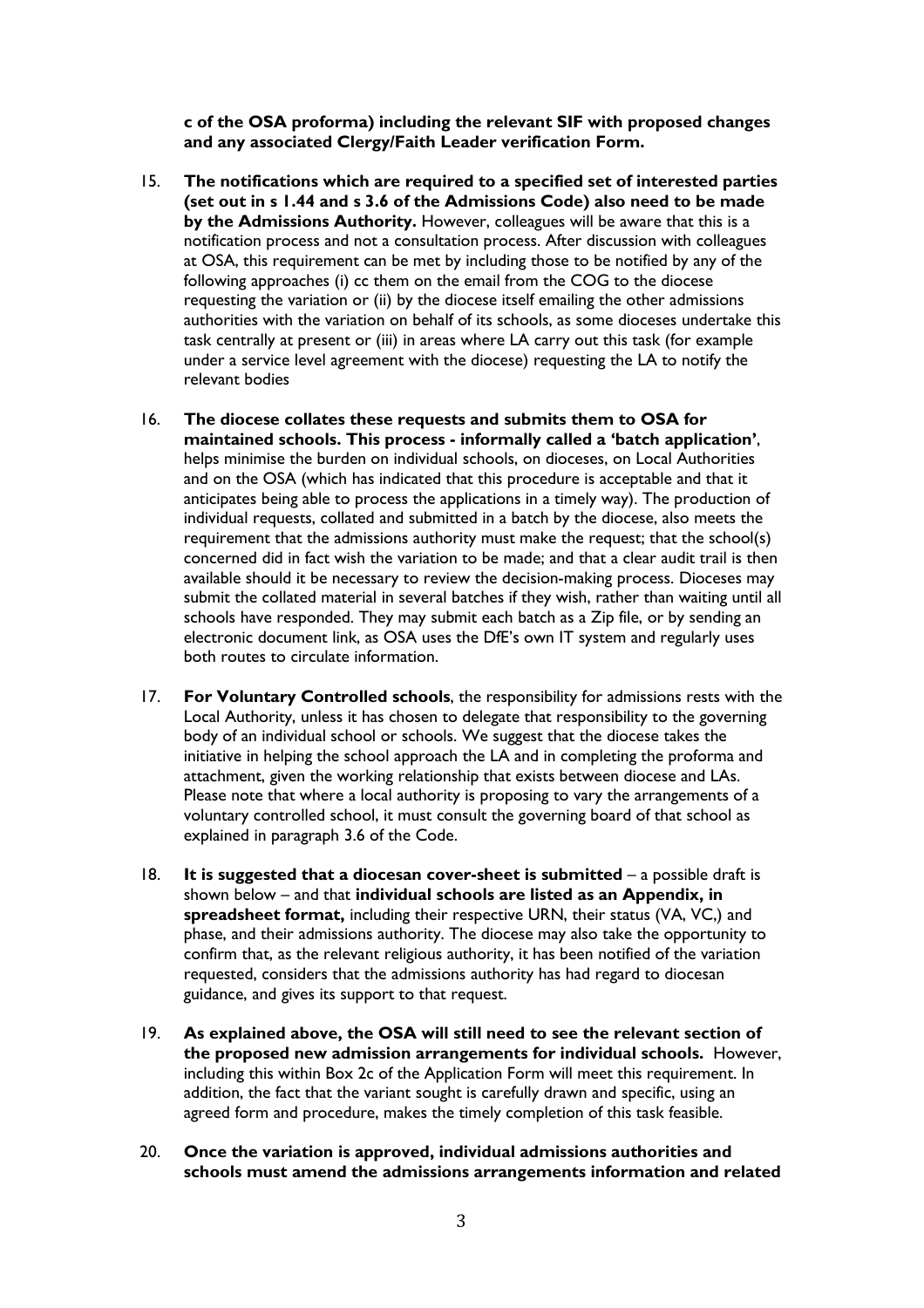**c of the OSA proforma) including the relevant SIF with proposed changes and any associated Clergy/Faith Leader verification Form.**

- 15. **The notifications which are required to a specified set of interested parties (set out in s 1.44 and s 3.6 of the Admissions Code) also need to be made by the Admissions Authority.** However, colleagues will be aware that this is a notification process and not a consultation process. After discussion with colleagues at OSA, this requirement can be met by including those to be notified by any of the following approaches (i) cc them on the email from the COG to the diocese requesting the variation or (ii) by the diocese itself emailing the other admissions authorities with the variation on behalf of its schools, as some dioceses undertake this task centrally at present or (iii) in areas where LA carry out this task (for example under a service level agreement with the diocese) requesting the LA to notify the relevant bodies
- 16. **The diocese collates these requests and submits them to OSA for maintained schools. This process - informally called a 'batch application'**, helps minimise the burden on individual schools, on dioceses, on Local Authorities and on the OSA (which has indicated that this procedure is acceptable and that it anticipates being able to process the applications in a timely way). The production of individual requests, collated and submitted in a batch by the diocese, also meets the requirement that the admissions authority must make the request; that the school(s) concerned did in fact wish the variation to be made; and that a clear audit trail is then available should it be necessary to review the decision-making process. Dioceses may submit the collated material in several batches if they wish, rather than waiting until all schools have responded. They may submit each batch as a Zip file, or by sending an electronic document link, as OSA uses the DfE's own IT system and regularly uses both routes to circulate information.
- 17. **For Voluntary Controlled schools**, the responsibility for admissions rests with the Local Authority, unless it has chosen to delegate that responsibility to the governing body of an individual school or schools. We suggest that the diocese takes the initiative in helping the school approach the LA and in completing the proforma and attachment, given the working relationship that exists between diocese and LAs. Please note that where a local authority is proposing to vary the arrangements of a voluntary controlled school, it must consult the governing board of that school as explained in paragraph 3.6 of the Code.
- 18. **It is suggested that a diocesan cover-sheet is submitted** a possible draft is shown below – and that **individual schools are listed as an Appendix, in spreadsheet format,** including their respective URN, their status (VA, VC,) and phase, and their admissions authority. The diocese may also take the opportunity to confirm that, as the relevant religious authority, it has been notified of the variation requested, considers that the admissions authority has had regard to diocesan guidance, and gives its support to that request.
- 19. **As explained above, the OSA will still need to see the relevant section of the proposed new admission arrangements for individual schools.** However, including this within Box 2c of the Application Form will meet this requirement. In addition, the fact that the variant sought is carefully drawn and specific, using an agreed form and procedure, makes the timely completion of this task feasible.
- 20. **Once the variation is approved, individual admissions authorities and schools must amend the admissions arrangements information and related**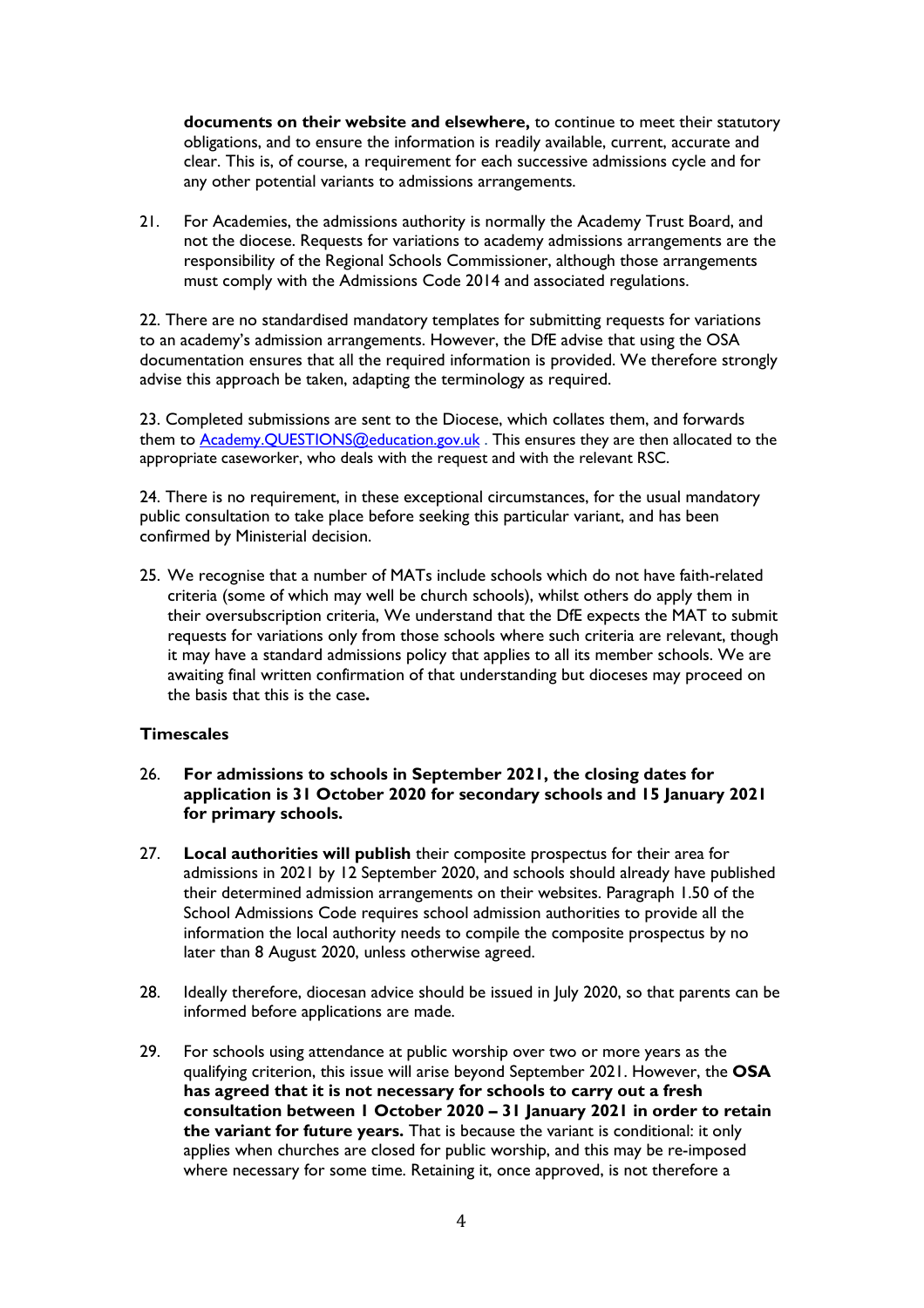**documents on their website and elsewhere,** to continue to meet their statutory obligations, and to ensure the information is readily available, current, accurate and clear. This is, of course, a requirement for each successive admissions cycle and for any other potential variants to admissions arrangements.

21. For Academies, the admissions authority is normally the Academy Trust Board, and not the diocese. Requests for variations to academy admissions arrangements are the responsibility of the Regional Schools Commissioner, although those arrangements must comply with the Admissions Code 2014 and associated regulations.

22. There are no standardised mandatory templates for submitting requests for variations to an academy's admission arrangements. However, the DfE advise that using the OSA documentation ensures that all the required information is provided. We therefore strongly advise this approach be taken, adapting the terminology as required.

23. Completed submissions are sent to the Diocese, which collates them, and forwards them to [Academy.QUESTIONS@education.gov.uk](mailto:Academy.QUESTIONS@education.gov.uk) . This ensures they are then allocated to the appropriate caseworker, who deals with the request and with the relevant RSC.

24. There is no requirement, in these exceptional circumstances, for the usual mandatory public consultation to take place before seeking this particular variant, and has been confirmed by Ministerial decision.

25. We recognise that a number of MATs include schools which do not have faith-related criteria (some of which may well be church schools), whilst others do apply them in their oversubscription criteria, We understand that the DfE expects the MAT to submit requests for variations only from those schools where such criteria are relevant, though it may have a standard admissions policy that applies to all its member schools. We are awaiting final written confirmation of that understanding but dioceses may proceed on the basis that this is the case**.** 

### **Timescales**

- 26. **For admissions to schools in September 2021, the closing dates for application is 31 October 2020 for secondary schools and 15 January 2021 for primary schools.**
- 27. **Local authorities will publish** their composite prospectus for their area for admissions in 2021 by 12 September 2020, and schools should already have published their determined admission arrangements on their websites. Paragraph 1.50 of the School Admissions Code requires school admission authorities to provide all the information the local authority needs to compile the composite prospectus by no later than 8 August 2020, unless otherwise agreed.
- 28. Ideally therefore, diocesan advice should be issued in July 2020, so that parents can be informed before applications are made.
- 29. For schools using attendance at public worship over two or more years as the qualifying criterion, this issue will arise beyond September 2021. However, the **OSA has agreed that it is not necessary for schools to carry out a fresh consultation between 1 October 2020 – 31 January 2021 in order to retain the variant for future years.** That is because the variant is conditional: it only applies when churches are closed for public worship, and this may be re-imposed where necessary for some time. Retaining it, once approved, is not therefore a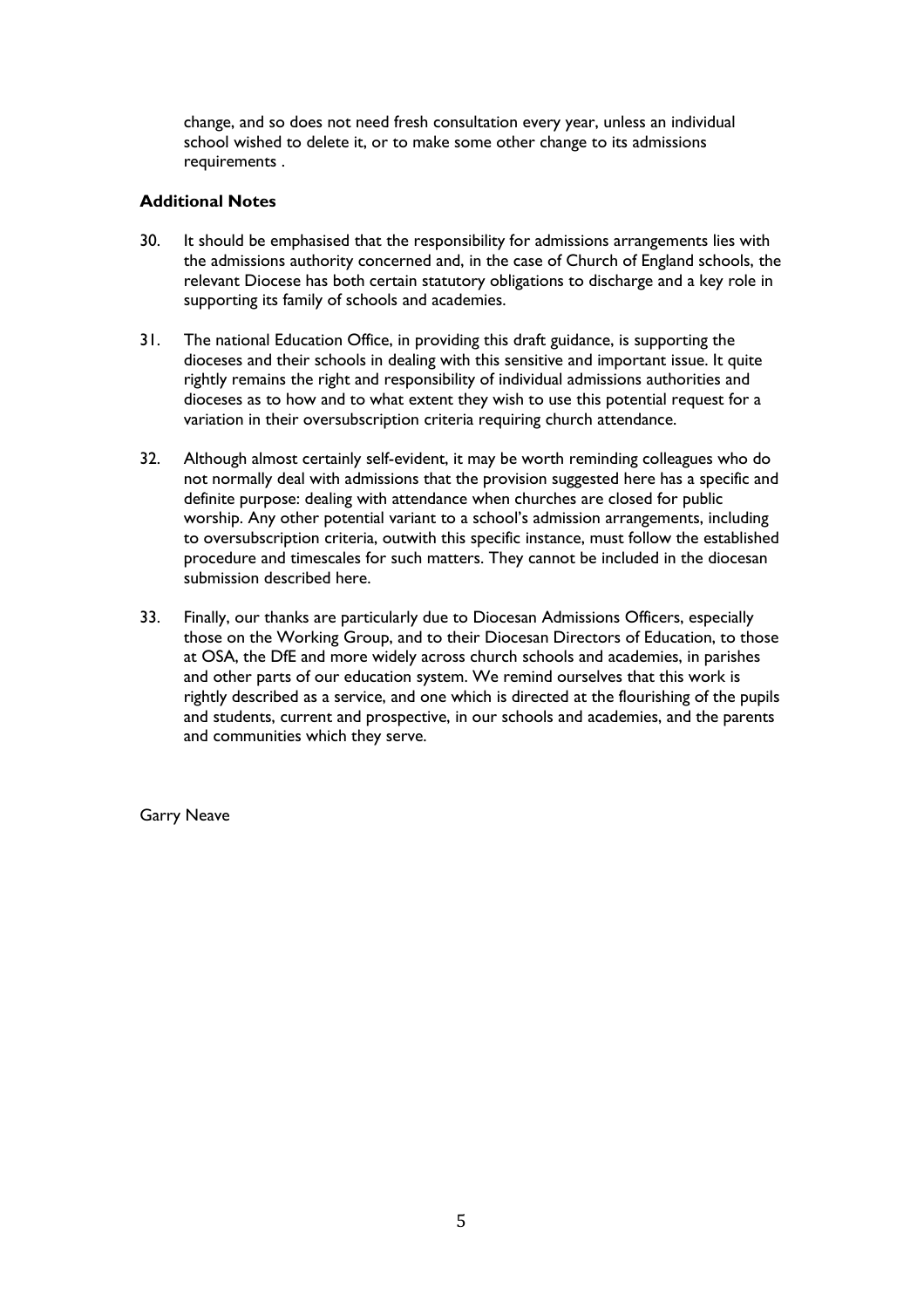change, and so does not need fresh consultation every year, unless an individual school wished to delete it, or to make some other change to its admissions requirements .

## **Additional Notes**

- 30. It should be emphasised that the responsibility for admissions arrangements lies with the admissions authority concerned and, in the case of Church of England schools, the relevant Diocese has both certain statutory obligations to discharge and a key role in supporting its family of schools and academies.
- 31. The national Education Office, in providing this draft guidance, is supporting the dioceses and their schools in dealing with this sensitive and important issue. It quite rightly remains the right and responsibility of individual admissions authorities and dioceses as to how and to what extent they wish to use this potential request for a variation in their oversubscription criteria requiring church attendance.
- 32. Although almost certainly self-evident, it may be worth reminding colleagues who do not normally deal with admissions that the provision suggested here has a specific and definite purpose: dealing with attendance when churches are closed for public worship. Any other potential variant to a school's admission arrangements, including to oversubscription criteria, outwith this specific instance, must follow the established procedure and timescales for such matters. They cannot be included in the diocesan submission described here.
- 33. Finally, our thanks are particularly due to Diocesan Admissions Officers, especially those on the Working Group, and to their Diocesan Directors of Education, to those at OSA, the DfE and more widely across church schools and academies, in parishes and other parts of our education system. We remind ourselves that this work is rightly described as a service, and one which is directed at the flourishing of the pupils and students, current and prospective, in our schools and academies, and the parents and communities which they serve.

Garry Neave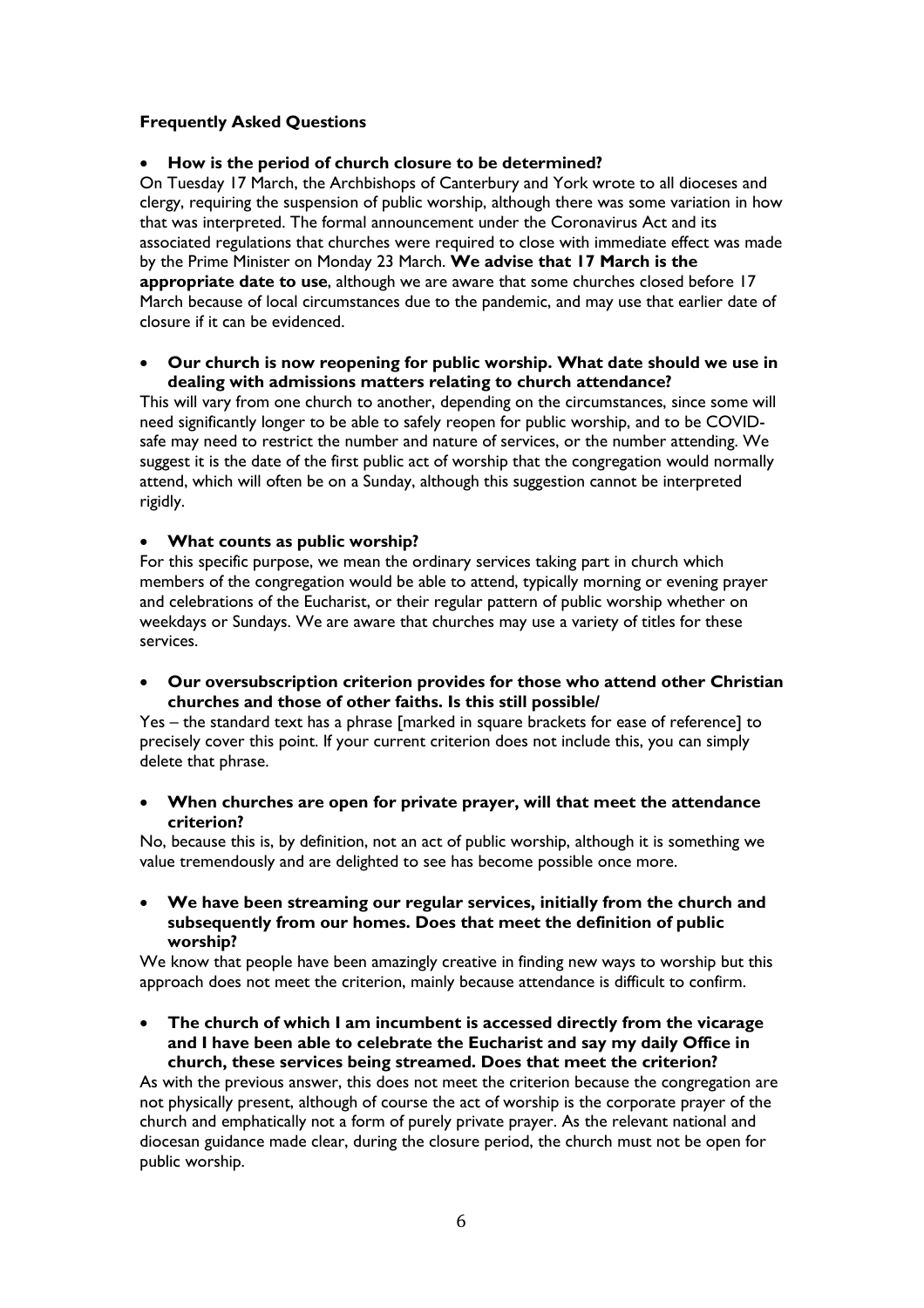# **Frequently Asked Questions**

## • **How is the period of church closure to be determined?**

On Tuesday 17 March, the Archbishops of Canterbury and York wrote to all dioceses and clergy, requiring the suspension of public worship, although there was some variation in how that was interpreted. The formal announcement under the Coronavirus Act and its associated regulations that churches were required to close with immediate effect was made by the Prime Minister on Monday 23 March. **We advise that 17 March is the appropriate date to use**, although we are aware that some churches closed before 17 March because of local circumstances due to the pandemic, and may use that earlier date of closure if it can be evidenced.

## • **Our church is now reopening for public worship. What date should we use in dealing with admissions matters relating to church attendance?**

This will vary from one church to another, depending on the circumstances, since some will need significantly longer to be able to safely reopen for public worship, and to be COVIDsafe may need to restrict the number and nature of services, or the number attending. We suggest it is the date of the first public act of worship that the congregation would normally attend, which will often be on a Sunday, although this suggestion cannot be interpreted rigidly.

### • **What counts as public worship?**

For this specific purpose, we mean the ordinary services taking part in church which members of the congregation would be able to attend, typically morning or evening prayer and celebrations of the Eucharist, or their regular pattern of public worship whether on weekdays or Sundays. We are aware that churches may use a variety of titles for these services.

• **Our oversubscription criterion provides for those who attend other Christian churches and those of other faiths. Is this still possible/**

Yes – the standard text has a phrase [marked in square brackets for ease of reference] to precisely cover this point. If your current criterion does not include this, you can simply delete that phrase.

• **When churches are open for private prayer, will that meet the attendance criterion?**

No, because this is, by definition, not an act of public worship, although it is something we value tremendously and are delighted to see has become possible once more.

• **We have been streaming our regular services, initially from the church and subsequently from our homes. Does that meet the definition of public worship?**

We know that people have been amazingly creative in finding new ways to worship but this approach does not meet the criterion, mainly because attendance is difficult to confirm.

• **The church of which I am incumbent is accessed directly from the vicarage and I have been able to celebrate the Eucharist and say my daily Office in church, these services being streamed. Does that meet the criterion?**

As with the previous answer, this does not meet the criterion because the congregation are not physically present, although of course the act of worship is the corporate prayer of the church and emphatically not a form of purely private prayer. As the relevant national and diocesan guidance made clear, during the closure period, the church must not be open for public worship.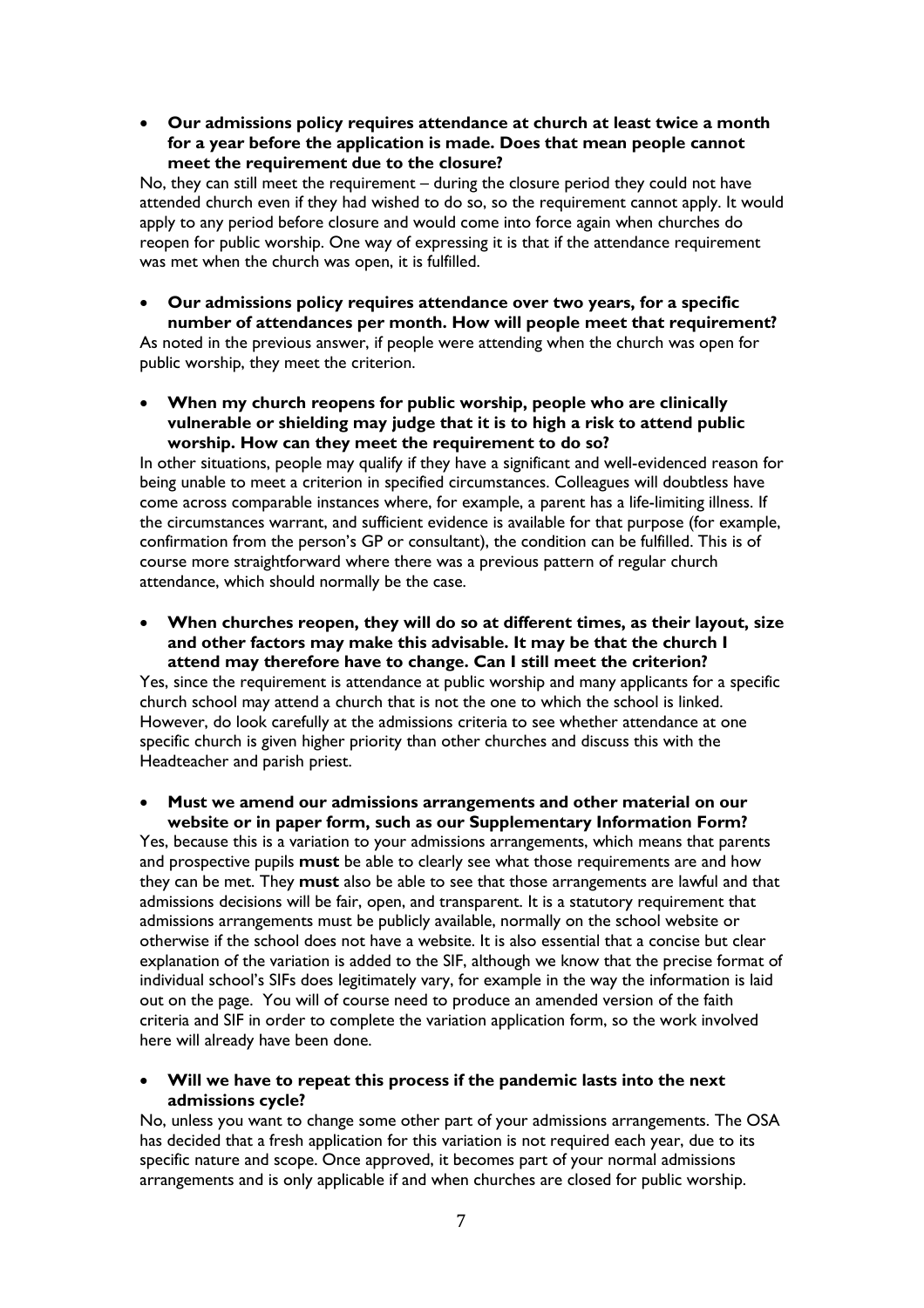• **Our admissions policy requires attendance at church at least twice a month for a year before the application is made. Does that mean people cannot meet the requirement due to the closure?**

No, they can still meet the requirement – during the closure period they could not have attended church even if they had wished to do so, so the requirement cannot apply. It would apply to any period before closure and would come into force again when churches do reopen for public worship. One way of expressing it is that if the attendance requirement was met when the church was open, it is fulfilled.

#### • **Our admissions policy requires attendance over two years, for a specific number of attendances per month. How will people meet that requirement?**

As noted in the previous answer, if people were attending when the church was open for public worship, they meet the criterion.

• **When my church reopens for public worship, people who are clinically vulnerable or shielding may judge that it is to high a risk to attend public worship. How can they meet the requirement to do so?**

In other situations, people may qualify if they have a significant and well-evidenced reason for being unable to meet a criterion in specified circumstances. Colleagues will doubtless have come across comparable instances where, for example, a parent has a life-limiting illness. If the circumstances warrant, and sufficient evidence is available for that purpose (for example, confirmation from the person's GP or consultant), the condition can be fulfilled. This is of course more straightforward where there was a previous pattern of regular church attendance, which should normally be the case.

• **When churches reopen, they will do so at different times, as their layout, size and other factors may make this advisable. It may be that the church I attend may therefore have to change. Can I still meet the criterion?**

Yes, since the requirement is attendance at public worship and many applicants for a specific church school may attend a church that is not the one to which the school is linked. However, do look carefully at the admissions criteria to see whether attendance at one specific church is given higher priority than other churches and discuss this with the Headteacher and parish priest.

#### • **Must we amend our admissions arrangements and other material on our website or in paper form, such as our Supplementary Information Form?**

Yes, because this is a variation to your admissions arrangements, which means that parents and prospective pupils **must** be able to clearly see what those requirements are and how they can be met. They **must** also be able to see that those arrangements are lawful and that admissions decisions will be fair, open, and transparent. It is a statutory requirement that admissions arrangements must be publicly available, normally on the school website or otherwise if the school does not have a website. It is also essential that a concise but clear explanation of the variation is added to the SIF, although we know that the precise format of individual school's SIFs does legitimately vary, for example in the way the information is laid out on the page. You will of course need to produce an amended version of the faith criteria and SIF in order to complete the variation application form, so the work involved here will already have been done.

### • **Will we have to repeat this process if the pandemic lasts into the next admissions cycle?**

No, unless you want to change some other part of your admissions arrangements. The OSA has decided that a fresh application for this variation is not required each year, due to its specific nature and scope. Once approved, it becomes part of your normal admissions arrangements and is only applicable if and when churches are closed for public worship.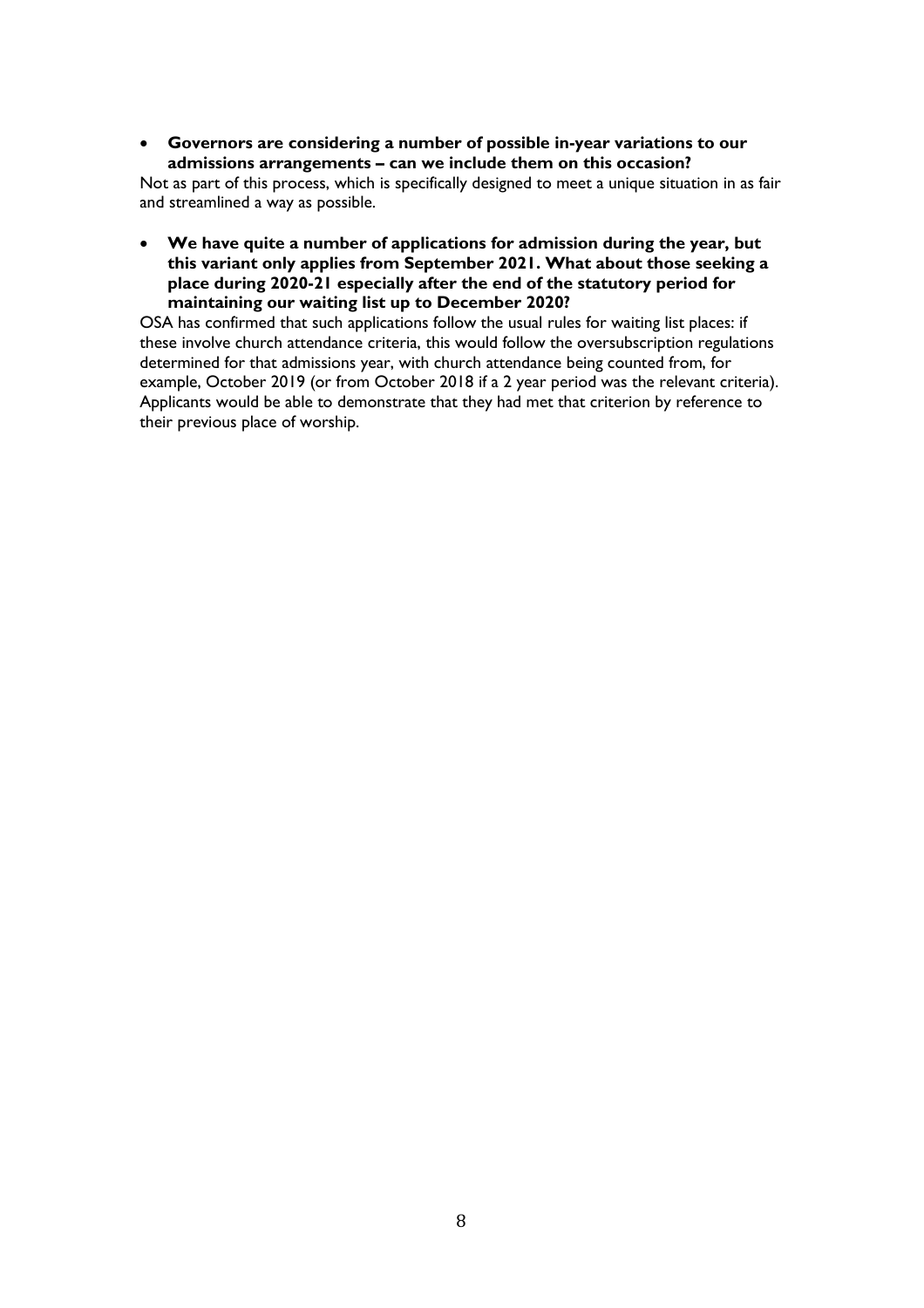• **Governors are considering a number of possible in-year variations to our admissions arrangements – can we include them on this occasion?**

Not as part of this process, which is specifically designed to meet a unique situation in as fair and streamlined a way as possible.

• **We have quite a number of applications for admission during the year, but this variant only applies from September 2021. What about those seeking a place during 2020-21 especially after the end of the statutory period for maintaining our waiting list up to December 2020?**

OSA has confirmed that such applications follow the usual rules for waiting list places: if these involve church attendance criteria, this would follow the oversubscription regulations determined for that admissions year, with church attendance being counted from, for example, October 2019 (or from October 2018 if a 2 year period was the relevant criteria). Applicants would be able to demonstrate that they had met that criterion by reference to their previous place of worship.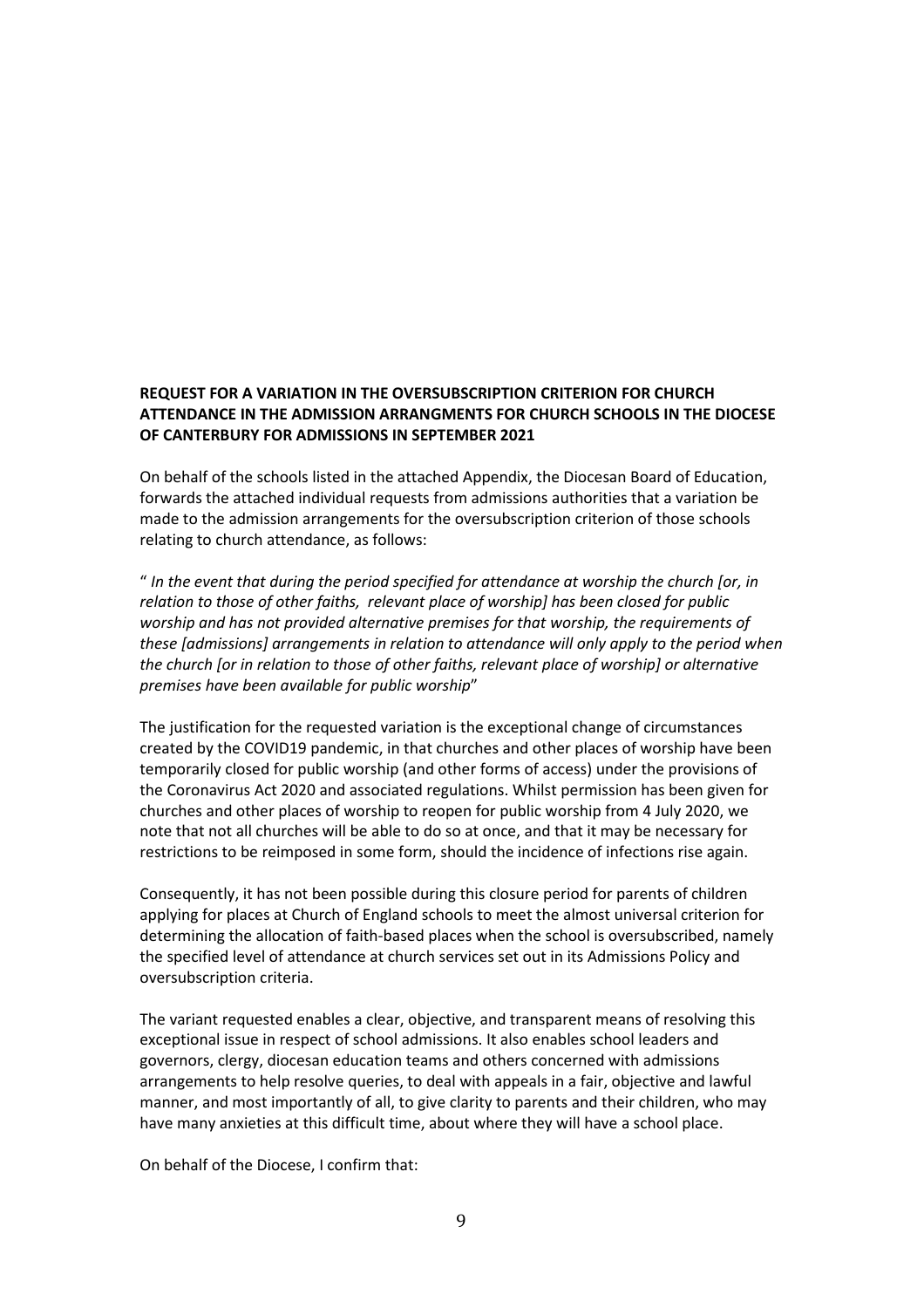# **REQUEST FOR A VARIATION IN THE OVERSUBSCRIPTION CRITERION FOR CHURCH ATTENDANCE IN THE ADMISSION ARRANGMENTS FOR CHURCH SCHOOLS IN THE DIOCESE OF CANTERBURY FOR ADMISSIONS IN SEPTEMBER 2021**

On behalf of the schools listed in the attached Appendix, the Diocesan Board of Education, forwards the attached individual requests from admissions authorities that a variation be made to the admission arrangements for the oversubscription criterion of those schools relating to church attendance, as follows:

" *In the event that during the period specified for attendance at worship the church [or, in relation to those of other faiths, relevant place of worship] has been closed for public worship and has not provided alternative premises for that worship, the requirements of these [admissions] arrangements in relation to attendance will only apply to the period when the church [or in relation to those of other faiths, relevant place of worship] or alternative premises have been available for public worship*"

The justification for the requested variation is the exceptional change of circumstances created by the COVID19 pandemic, in that churches and other places of worship have been temporarily closed for public worship (and other forms of access) under the provisions of the Coronavirus Act 2020 and associated regulations. Whilst permission has been given for churches and other places of worship to reopen for public worship from 4 July 2020, we note that not all churches will be able to do so at once, and that it may be necessary for restrictions to be reimposed in some form, should the incidence of infections rise again.

Consequently, it has not been possible during this closure period for parents of children applying for places at Church of England schools to meet the almost universal criterion for determining the allocation of faith-based places when the school is oversubscribed, namely the specified level of attendance at church services set out in its Admissions Policy and oversubscription criteria.

The variant requested enables a clear, objective, and transparent means of resolving this exceptional issue in respect of school admissions. It also enables school leaders and governors, clergy, diocesan education teams and others concerned with admissions arrangements to help resolve queries, to deal with appeals in a fair, objective and lawful manner, and most importantly of all, to give clarity to parents and their children, who may have many anxieties at this difficult time, about where they will have a school place.

On behalf of the Diocese, I confirm that: